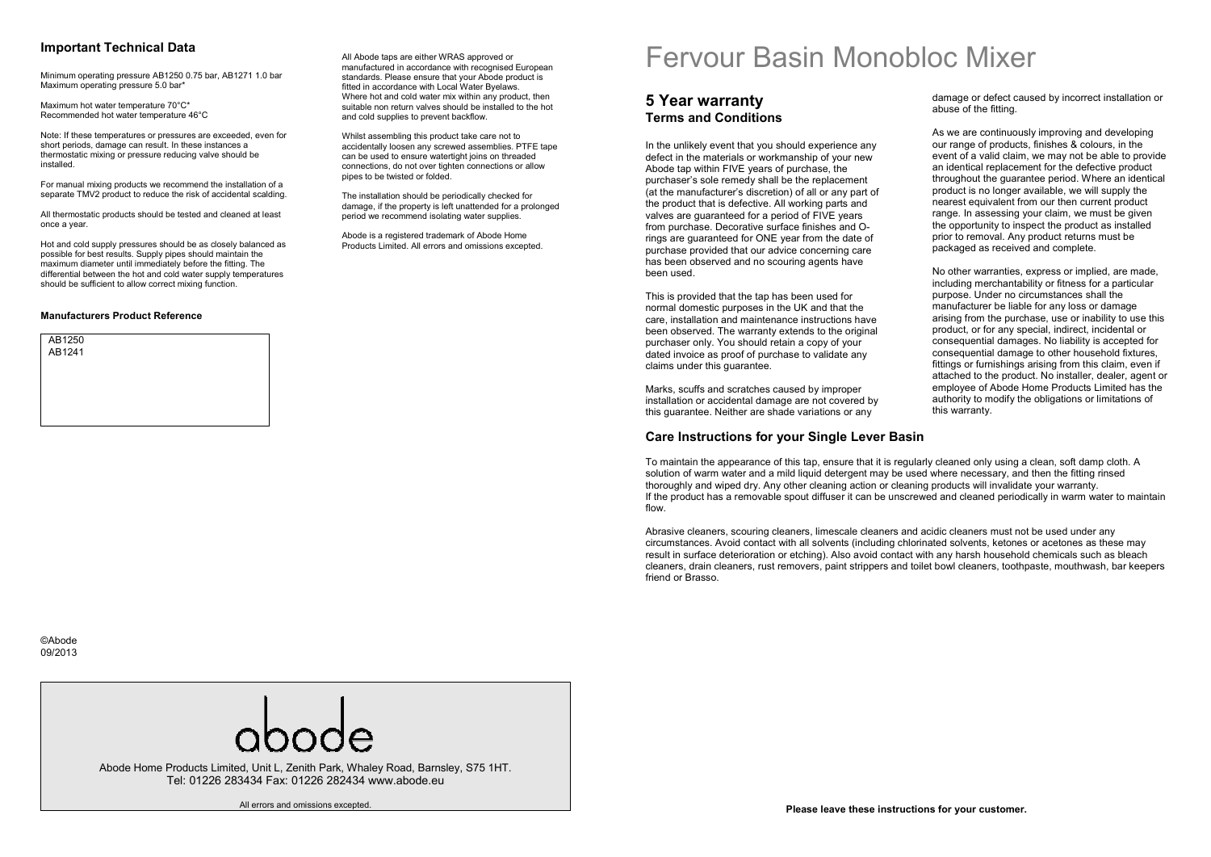## **Important Technical Data**

Minimum operating pressure AB1250 0.75 bar, AB1271 1.0 bar Maximum operating pressure 5.0 bar\*

Maximum hot water temperature 70°C\* Recommended hot water temperature 46°C

Note: If these temperatures or pressures are exceeded, even for short periods, damage can result. In these instances a thermostatic mixing or pressure reducing valve should be installed.

For manual mixing products we recommend the installation of a separate TMV2 product to reduce the risk of accidental scalding.

All thermostatic products should be tested and cleaned at least once a year.

Hot and cold supply pressures should be as closely balanced as possible for best results. Supply pipes should maintain the maximum diameter until immediately before the fitting. The differential between the hot and cold water supply temperatures should be sufficient to allow correct mixing function.

#### **Manufacturers Product Reference**



All Abode taps are either WRAS approved or manufactured in accordance with recognised Europeanstandards. Please ensure that your Abode product isfitted in accordance with Local Water Byelaws. Where hot and cold water mix within any product, then suitable non return valves should be installed to the hot and cold supplies to prevent backflow.

Whilst assembling this product take care not to accidentally loosen any screwed assemblies. PTFE tape can be used to ensure watertight joins on threaded connections, do not over tighten connections or allow pipes to be twisted or folded.

The installation should be periodically checked for damage, if the property is left unattended for a prolonged period we recommend isolating water supplies.

Abode is a registered trademark of Abode Home Products Limited. All errors and omissions excepted.

# Fervour Basin Monobloc Mixer

damage or defect caused by incorrect installation or

As we are continuously improving and developing our range of products, finishes & colours, in the event of a valid claim, we may not be able to provide an identical replacement for the defective product throughout the guarantee period. Where an identicalproduct is no longer available, we will supply the nearest equivalent from our then current product range. In assessing your claim, we must be given the opportunity to inspect the product as installedprior to removal. Any product returns must be packaged as received and complete.

No other warranties, express or implied, are made, including merchantability or fitness for a particular purpose. Under no circumstances shall the manufacturer be liable for any loss or damage arising from the purchase, use or inability to use this product, or for any special, indirect, incidental or consequential damages. No liability is accepted for consequential damage to other household fixtures, fittings or furnishings arising from this claim, even if attached to the product. No installer, dealer, agent or employee of Abode Home Products Limited has the authority to modify the obligations or limitations of

abuse of the fitting.

## **5 Year warranty Terms and Conditions**

In the unlikely event that you should experience any defect in the materials or workmanship of your new Abode tap within FIVE years of purchase, the purchaser's sole remedy shall be the replacement (at the manufacturer's discretion) of all or any part of the product that is defective. All working parts and valves are guaranteed for a period of FIVE years from purchase. Decorative surface finishes and Orings are guaranteed for ONE year from the date of purchase provided that our advice concerning care has been observed and no scouring agents have been used.

This is provided that the tap has been used for normal domestic purposes in the UK and that the care, installation and maintenance instructions have been observed. The warranty extends to the originalpurchaser only. You should retain a copy of your dated invoice as proof of purchase to validate any claims under this guarantee.

Marks, scuffs and scratches caused by improper installation or accidental damage are not covered by this quarantee. Neither are shade variations or any

## **Care Instructions for your Single Lever Basin**

To maintain the appearance of this tap, ensure that it is regularly cleaned only using a clean, soft damp cloth. A solution of warm water and a mild liquid detergent may be used where necessary, and then the fitting rinsed thoroughly and wiped dry. Any other cleaning action or cleaning products will invalidate your warranty. If the product has a removable spout diffuser it can be unscrewed and cleaned periodically in warm water to maintain flow.

this warranty.

Abrasive cleaners, scouring cleaners, limescale cleaners and acidic cleaners must not be used under any circumstances. Avoid contact with all solvents (including chlorinated solvents, ketones or acetones as these may result in surface deterioration or etching). Also avoid contact with any harsh household chemicals such as bleach cleaners, drain cleaners, rust removers, paint strippers and toilet bowl cleaners, toothpaste, mouthwash, bar keepers friend or Brasso.



Abode Home Products Limited, Unit L, Zenith Park, Whaley Road, Barnsley, S75 1HT. Tel: 01226 283434 Fax: 01226 282434 www.abode.eu

All errors and omissions excepted.

**Please leave these instructions for your customer.**